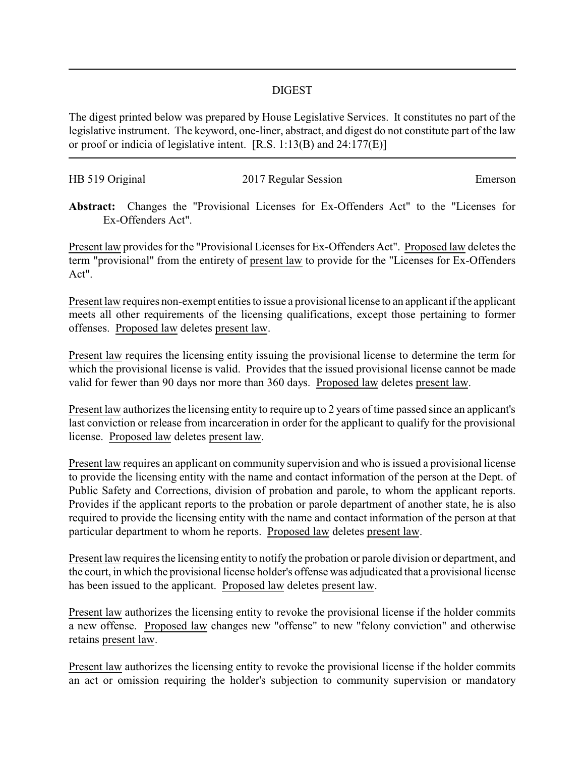## DIGEST

The digest printed below was prepared by House Legislative Services. It constitutes no part of the legislative instrument. The keyword, one-liner, abstract, and digest do not constitute part of the law or proof or indicia of legislative intent. [R.S. 1:13(B) and 24:177(E)]

| HB 519 Original | 2017 Regular Session | Emerson |
|-----------------|----------------------|---------|
|                 |                      |         |

**Abstract:** Changes the "Provisional Licenses for Ex-Offenders Act" to the "Licenses for Ex-Offenders Act".

Present law provides for the "Provisional Licenses for Ex-Offenders Act". Proposed law deletes the term "provisional" from the entirety of present law to provide for the "Licenses for Ex-Offenders Act".

Present law requires non-exempt entities to issue a provisional license to an applicant if the applicant meets all other requirements of the licensing qualifications, except those pertaining to former offenses. Proposed law deletes present law.

Present law requires the licensing entity issuing the provisional license to determine the term for which the provisional license is valid. Provides that the issued provisional license cannot be made valid for fewer than 90 days nor more than 360 days. Proposed law deletes present law.

Present law authorizes the licensing entity to require up to 2 years of time passed since an applicant's last conviction or release from incarceration in order for the applicant to qualify for the provisional license. Proposed law deletes present law.

Present law requires an applicant on community supervision and who is issued a provisional license to provide the licensing entity with the name and contact information of the person at the Dept. of Public Safety and Corrections, division of probation and parole, to whom the applicant reports. Provides if the applicant reports to the probation or parole department of another state, he is also required to provide the licensing entity with the name and contact information of the person at that particular department to whom he reports. Proposed law deletes present law.

Present law requires the licensing entity to notify the probation or parole division or department, and the court, in which the provisional license holder's offense was adjudicated that a provisional license has been issued to the applicant. Proposed law deletes present law.

Present law authorizes the licensing entity to revoke the provisional license if the holder commits a new offense. Proposed law changes new "offense" to new "felony conviction" and otherwise retains present law.

Present law authorizes the licensing entity to revoke the provisional license if the holder commits an act or omission requiring the holder's subjection to community supervision or mandatory